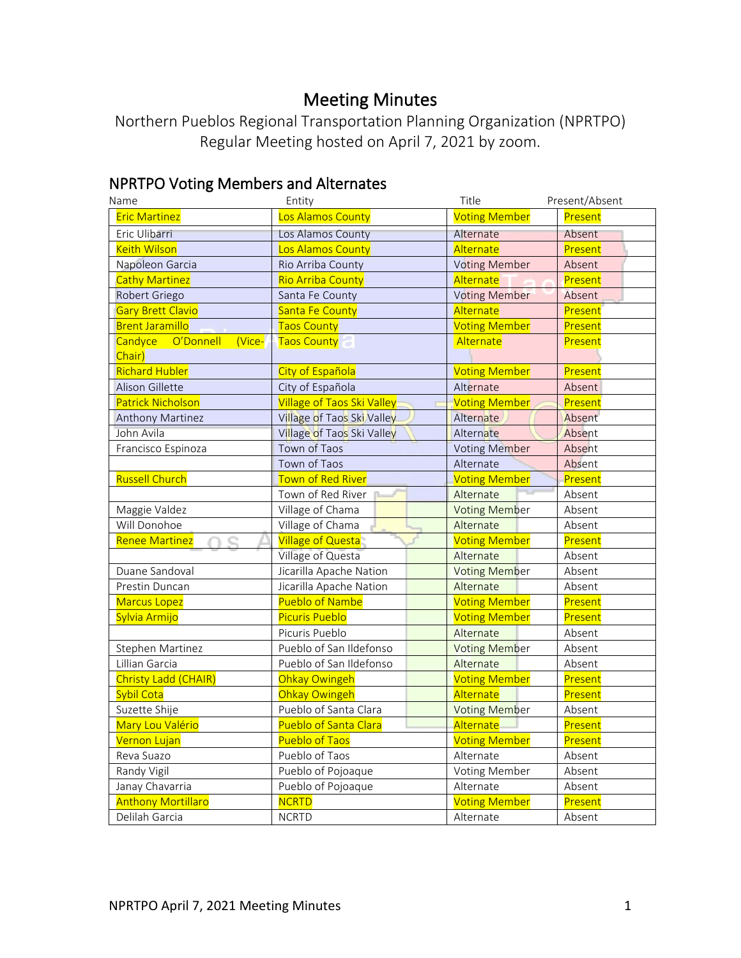# Meeting Minutes

Northern Pueblos Regional Transportation Planning Organization (NPRTPO) Regular Meeting hosted on April 7, 2021 by zoom.

# NPRTPO Voting Members and Alternates

| Name                                     | Entity                            | Title                | Present/Absent |
|------------------------------------------|-----------------------------------|----------------------|----------------|
| <b>Eric Martinez</b>                     | Los Alamos County                 | <b>Voting Member</b> | Present        |
| Eric Ulibarri                            | Los Alamos County                 | Alternate            | Absent         |
| <b>Keith Wilson</b>                      | Los Alamos County                 | Alternate            | Present        |
| Napoleon Garcia                          | Rio Arriba County                 | <b>Voting Member</b> | Absent         |
| <b>Cathy Martinez</b>                    | <b>Rio Arriba County</b>          | Alternate            | Present        |
| Robert Griego                            | Santa Fe County                   | <b>Voting Member</b> | Absent         |
| <b>Gary Brett Clavio</b>                 | Santa Fe County                   | Alternate            | Present        |
| <b>Brent Jaramillo</b>                   | <b>Taos County</b>                | <b>Voting Member</b> | Present        |
| Candyce<br>O'Donnell<br>(Vice-<br>Chair) | <b>Taos County</b>                | Alternate            | Present        |
| <b>Richard Hubler</b>                    | City of Española                  | <b>Voting Member</b> | Present        |
| Alison Gillette                          | City of Española                  | Alternate            | Absent         |
| <b>Patrick Nicholson</b>                 | <b>Village of Taos Ski Valley</b> | <b>Voting Member</b> | Present        |
| <b>Anthony Martinez</b>                  | Village of Taos Ski Valley        | Alternate            | Absent         |
| John Avila                               | Village of Taos Ski Valley        | Alternate            | Absent         |
| Francisco Espinoza                       | Town of Taos                      | <b>Voting Member</b> | Absent         |
|                                          | Town of Taos                      | Alternate            | Absent         |
| <b>Russell Church</b>                    | <b>Town of Red River</b>          | <b>Voting Member</b> | Present        |
|                                          | Town of Red River                 | Alternate            | Absent         |
| Maggie Valdez                            | Village of Chama                  | <b>Voting Member</b> | Absent         |
| Will Donohoe                             | Village of Chama                  | Alternate            | Absent         |
| <b>Renee Martinez</b>                    | <b>Village of Questa</b>          | <b>Voting Member</b> | Present        |
|                                          | Village of Questa                 | Alternate            | Absent         |
| Duane Sandoval                           | Jicarilla Apache Nation           | <b>Voting Member</b> | Absent         |
| Prestin Duncan                           | Jicarilla Apache Nation           | Alternate            | Absent         |
| <b>Marcus Lopez</b>                      | <b>Pueblo of Nambe</b>            | <b>Voting Member</b> | Present        |
| Sylvia Armijo                            | <b>Picuris Pueblo</b>             | <b>Voting Member</b> | Present        |
|                                          | Picuris Pueblo                    | Alternate            | Absent         |
| Stephen Martinez                         | Pueblo of San Ildefonso           | <b>Voting Member</b> | Absent         |
| Lillian Garcia                           | Pueblo of San Ildefonso           | Alternate            | Absent         |
| Christy Ladd (CHAIR)                     | Ohkay Owingeh                     | <b>Voting Member</b> | Present        |
| Sybil Cota                               | Ohkay Owingeh                     | Alternate            | Present        |
| Suzette Shije                            | Pueblo of Santa Clara             | <b>Voting Member</b> | Absent         |
| Mary Lou Valério                         | Pueblo of Santa Clara             | Alternate            | Present        |
| Vernon Lujan                             | <b>Pueblo of Taos</b>             | <b>Voting Member</b> | Present        |
| Reva Suazo                               | Pueblo of Taos                    | Alternate            | Absent         |
| Randy Vigil                              | Pueblo of Pojoaque                | Voting Member        | Absent         |
| Janay Chavarria                          | Pueblo of Pojoaque                | Alternate            | Absent         |
| <b>Anthony Mortillaro</b>                | <b>NCRTD</b>                      | <b>Voting Member</b> | Present        |
| Delilah Garcia                           | <b>NCRTD</b>                      | Alternate            | Absent         |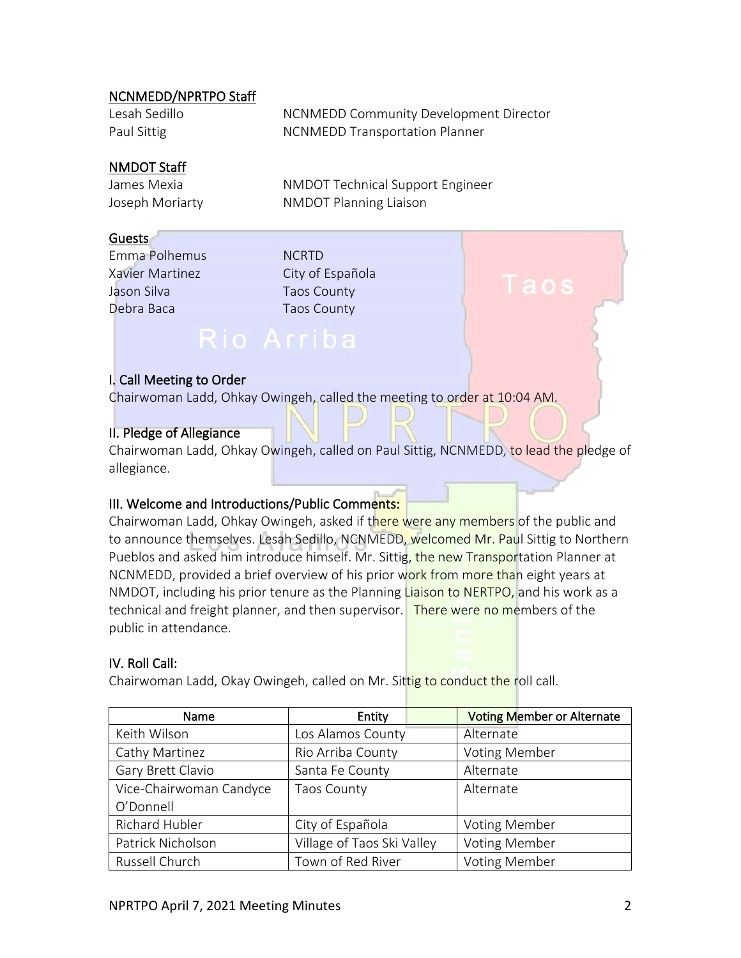#### NCNMEDD/NPRTPO Staff

| Lesah Sedillo | NCNMEDD Community Development Director |
|---------------|----------------------------------------|
| Paul Sittig   | <b>NCNMEDD Transportation Planner</b>  |

#### NMDOT Staff

James Mexia NMDOT Technical Support Engineer Joseph Moriarty **NMDOT** Planning Liaison

#### Guests

Emma Polhemus NCRTD Xavier Martinez City of Española Jason Silva **Taos** County Debra Baca Taos County

# Rio Arriba

#### I. Call Meeting to Order

Chairwoman Ladd, Ohkay Owingeh, called the meeting to order at 10:04 AM.

#### II. Pledge of Allegiance

Chairwoman Ladd, Ohkay Owingeh, called on Paul Sittig, NCNMEDD, to lead the pledge of allegiance.

#### III. Welcome and Introductions/Public Comments:

Chairwoman Ladd, Ohkay Owingeh, asked if there were any members of the public and to announce themselves. Lesah Sedillo, NCNMEDD, welcomed Mr. Paul Sittig to Northern Pueblos and asked him introduce himself. Mr. Sittig, the new Transportation Planner at NCNMEDD, provided a brief overview of his prior work from more than eight years at NMDOT, including his prior tenure as the Planning Liaison to NERTPO, and his work as a technical and freight planner, and then supervisor. There were no members of the public in attendance.

#### IV. Roll Call:

Chairwoman Ladd, Okay Owingeh, called on Mr. Sittig to conduct the roll call.

| Name                    | Entity                     | <b>Voting Member or Alternate</b> |
|-------------------------|----------------------------|-----------------------------------|
| Keith Wilson            | Los Alamos County          | Alternate                         |
| Cathy Martinez          | Rio Arriba County          | <b>Voting Member</b>              |
| Gary Brett Clavio       | Santa Fe County            | Alternate                         |
| Vice-Chairwoman Candyce | <b>Taos County</b>         | Alternate                         |
| O'Donnell               |                            |                                   |
| Richard Hubler          | City of Española           | <b>Voting Member</b>              |
| Patrick Nicholson       | Village of Taos Ski Valley | <b>Voting Member</b>              |
| Russell Church          | Town of Red River          | <b>Voting Member</b>              |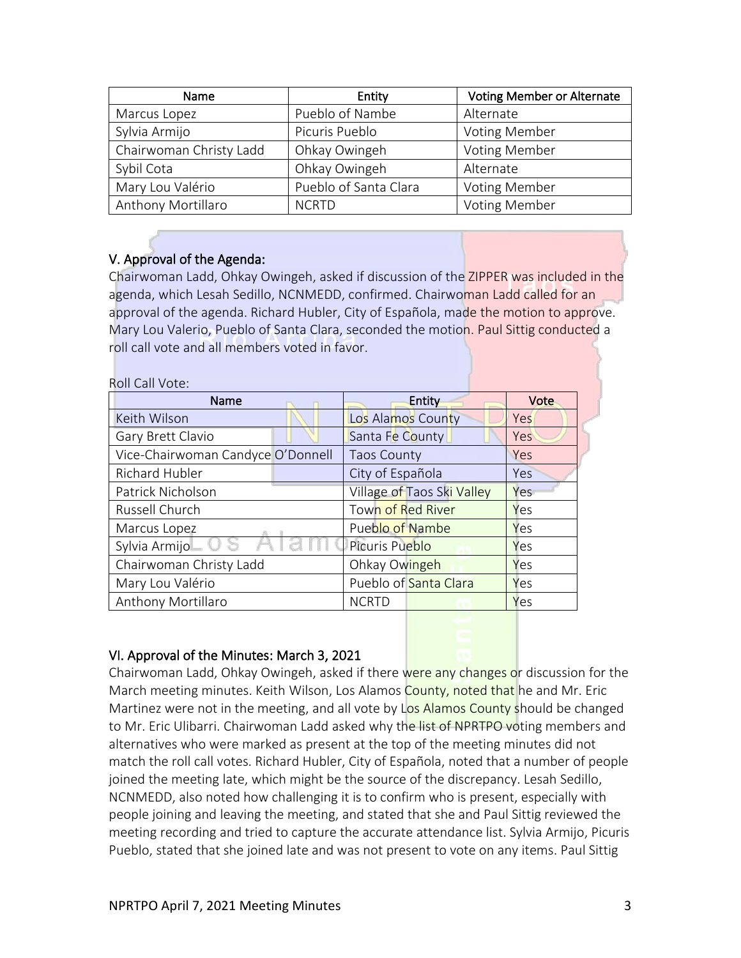| Name                    | Entity                | <b>Voting Member or Alternate</b> |
|-------------------------|-----------------------|-----------------------------------|
| Marcus Lopez            | Pueblo of Nambe       | Alternate                         |
| Sylvia Armijo           | Picuris Pueblo        | <b>Voting Member</b>              |
| Chairwoman Christy Ladd | Ohkay Owingeh         | <b>Voting Member</b>              |
| Sybil Cota              | Ohkay Owingeh         | Alternate                         |
| Mary Lou Valério        | Pueblo of Santa Clara | <b>Voting Member</b>              |
| Anthony Mortillaro      | <b>NCRTD</b>          | <b>Voting Member</b>              |

### V. Approval of the Agenda:

Chairwoman Ladd, Ohkay Owingeh, asked if discussion of the ZIPPER was included in the agenda, which Lesah Sedillo, NCNMEDD, confirmed. Chairwoman Ladd called for an approval of the agenda. Richard Hubler, City of Española, made the motion to approve. Mary Lou Valerio, Pueblo of Santa Clara, seconded the motion. Paul Sittig conducted a roll call vote and all members voted in favor.

| Roll Call Vote:                   |                            |      |
|-----------------------------------|----------------------------|------|
| Name                              | Entity                     | Vote |
| Keith Wilson                      | Los Alamos County          | Yes  |
| Gary Brett Clavio                 | Santa Fe County            | Yes  |
| Vice-Chairwoman Candyce O'Donnell | <b>Taos County</b>         | Yes  |
| Richard Hubler                    | City of Española           | Yes  |
| Patrick Nicholson                 | Village of Taos Ski Valley | Yes  |
| Russell Church                    | <b>Town of Red River</b>   | Yes  |
| Marcus Lopez                      | Pueblo of Nambe            | Yes  |
| Sylvia Armijo                     | Picuris Pueblo             | Yes  |
| Chairwoman Christy Ladd           | Ohkay Owingeh              | Yes  |
| Mary Lou Valério                  | Pueblo of Santa Clara      | Yes  |
| Anthony Mortillaro                | <b>NCRTD</b>               | Yes  |

#### VI. Approval of the Minutes: March 3, 2021

Chairwoman Ladd, Ohkay Owingeh, asked if there were any changes or discussion for the March meeting minutes. Keith Wilson, Los Alamos County, noted that he and Mr. Eric Martinez were not in the meeting, and all vote by Los Alamos County should be changed to Mr. Eric Ulibarri. Chairwoman Ladd asked why the list of NPRTPO voting members and alternatives who were marked as present at the top of the meeting minutes did not match the roll call votes. Richard Hubler, City of Española, noted that a number of people joined the meeting late, which might be the source of the discrepancy. Lesah Sedillo, NCNMEDD, also noted how challenging it is to confirm who is present, especially with people joining and leaving the meeting, and stated that she and Paul Sittig reviewed the meeting recording and tried to capture the accurate attendance list. Sylvia Armijo, Picuris Pueblo, stated that she joined late and was not present to vote on any items. Paul Sittig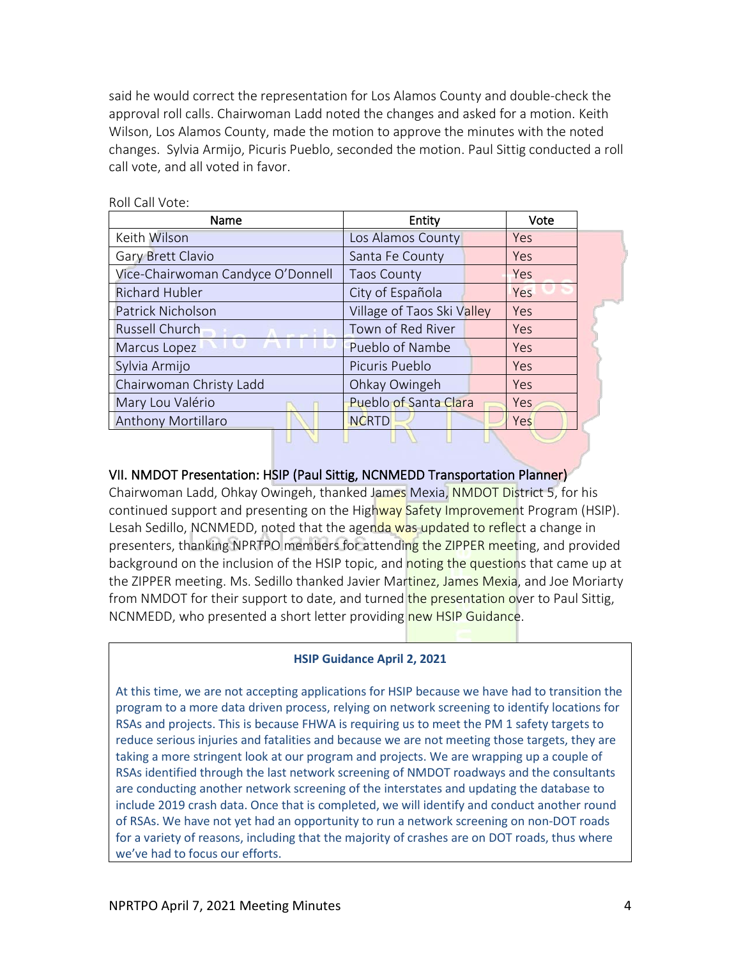said he would correct the representation for Los Alamos County and double-check the approval roll calls. Chairwoman Ladd noted the changes and asked for a motion. Keith Wilson, Los Alamos County, made the motion to approve the minutes with the noted changes. Sylvia Armijo, Picuris Pueblo, seconded the motion. Paul Sittig conducted a roll call vote, and all voted in favor.

| Name                              | Entity                       |     |  |
|-----------------------------------|------------------------------|-----|--|
| Keith Wilson                      | Los Alamos County            | Yes |  |
| Gary Brett Clavio                 | Santa Fe County              | Yes |  |
| Vice-Chairwoman Candyce O'Donnell | <b>Taos County</b>           | Yes |  |
| <b>Richard Hubler</b>             | City of Española             | Yes |  |
| Patrick Nicholson                 | Village of Taos Ski Valley   | Yes |  |
| Russell Church                    | Town of Red River            | Yes |  |
| Marcus Lopez                      | Pueblo of Nambe              | Yes |  |
| Sylvia Armijo                     | Picuris Pueblo               | Yes |  |
| Chairwoman Christy Ladd           | Ohkay Owingeh                | Yes |  |
| Mary Lou Valério                  | <b>Pueblo of Santa Clara</b> | Yes |  |
| <b>Anthony Mortillaro</b>         | <b>NCRTD</b>                 | Yes |  |
|                                   |                              |     |  |

Roll Call Vote:

#### VII. NMDOT Presentation: HSIP (Paul Sittig, NCNMEDD Transportation Planner)

Chairwoman Ladd, Ohkay Owingeh, thanked James Mexia, NMDOT District 5, for his continued support and presenting on the Highway Safety Improvement Program (HSIP). Lesah Sedillo, NCNMEDD, noted that the agenda was updated to reflect a change in presenters, thanking NPRTPO members for attending the ZIPPER meeting, and provided background on the inclusion of the HSIP topic, and noting the questions that came up at the ZIPPER meeting. Ms. Sedillo thanked Javier Martinez, James Mexia, and Joe Moriarty from NMDOT for their support to date, and turned the presentation over to Paul Sittig, NCNMEDD, who presented a short letter providing new HSIP Guidance.

#### **HSIP Guidance April 2, 2021**

At this time, we are not accepting applications for HSIP because we have had to transition the program to a more data driven process, relying on network screening to identify locations for RSAs and projects. This is because FHWA is requiring us to meet the PM 1 safety targets to reduce serious injuries and fatalities and because we are not meeting those targets, they are taking a more stringent look at our program and projects. We are wrapping up a couple of RSAs identified through the last network screening of NMDOT roadways and the consultants are conducting another network screening of the interstates and updating the database to include 2019 crash data. Once that is completed, we will identify and conduct another round of RSAs. We have not yet had an opportunity to run a network screening on non-DOT roads for a variety of reasons, including that the majority of crashes are on DOT roads, thus where we've had to focus our efforts.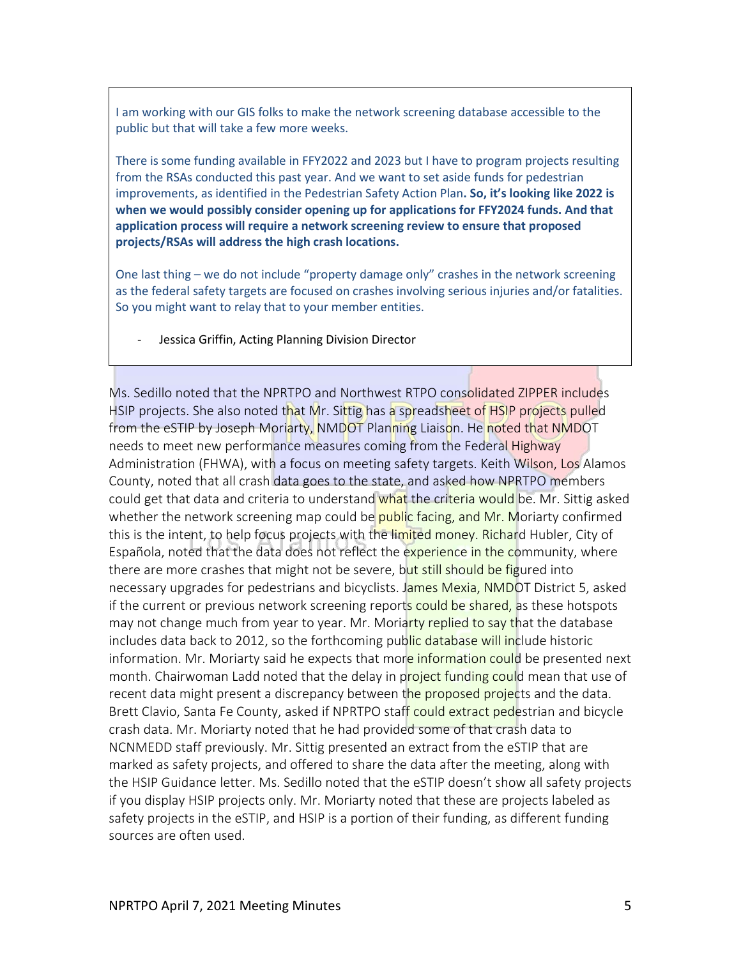I am working with our GIS folks to make the network screening database accessible to the public but that will take a few more weeks.

There is some funding available in FFY2022 and 2023 but I have to program projects resulting from the RSAs conducted this past year. And we want to set aside funds for pedestrian improvements, as identified in the Pedestrian Safety Action Plan**. So, it's looking like 2022 is when we would possibly consider opening up for applications for FFY2024 funds. And that application process will require a network screening review to ensure that proposed projects/RSAs will address the high crash locations.**

One last thing – we do not include "property damage only" crashes in the network screening as the federal safety targets are focused on crashes involving serious injuries and/or fatalities. So you might want to relay that to your member entities.

Jessica Griffin, Acting Planning Division Director

Ms. Sedillo noted that the NPRTPO and Northwest RTPO consolidated ZIPPER includes HSIP projects. She also noted that Mr. Sittig has a spreadsheet of HSIP projects pulled from the eSTIP by Joseph Moriarty, NMDOT Planning Liaison. He noted that NMDOT needs to meet new performance measures coming from the Federal Highway Administration (FHWA), with a focus on meeting safety targets. Keith Wilson, Los Alamos County, noted that all crash data goes to the state, and asked how NPRTPO members could get that data and criteria to understand what the criteria would be. Mr. Sittig asked whether the network screening map could be **public facing, and Mr. Moriarty confirmed** this is the intent, to help focus projects with the limited money. Richard Hubler, City of Española, noted that the data does not reflect the experience in the community, where there are more crashes that might not be severe, but still should be figured into necessary upgrades for pedestrians and bicyclists. James Mexia, NMDOT District 5, asked if the current or previous network screening reports could be shared, as these hotspots may not change much from year to year. Mr. Moriarty replied to say that the database includes data back to 2012, so the forthcoming public database will include historic information. Mr. Moriarty said he expects that more information could be presented next month. Chairwoman Ladd noted that the delay in project funding could mean that use of recent data might present a discrepancy between the proposed projects and the data. Brett Clavio, Santa Fe County, asked if NPRTPO staff could extract pedestrian and bicycle crash data. Mr. Moriarty noted that he had provided some of that crash data to NCNMEDD staff previously. Mr. Sittig presented an extract from the eSTIP that are marked as safety projects, and offered to share the data after the meeting, along with the HSIP Guidance letter. Ms. Sedillo noted that the eSTIP doesn't show all safety projects if you display HSIP projects only. Mr. Moriarty noted that these are projects labeled as safety projects in the eSTIP, and HSIP is a portion of their funding, as different funding sources are often used.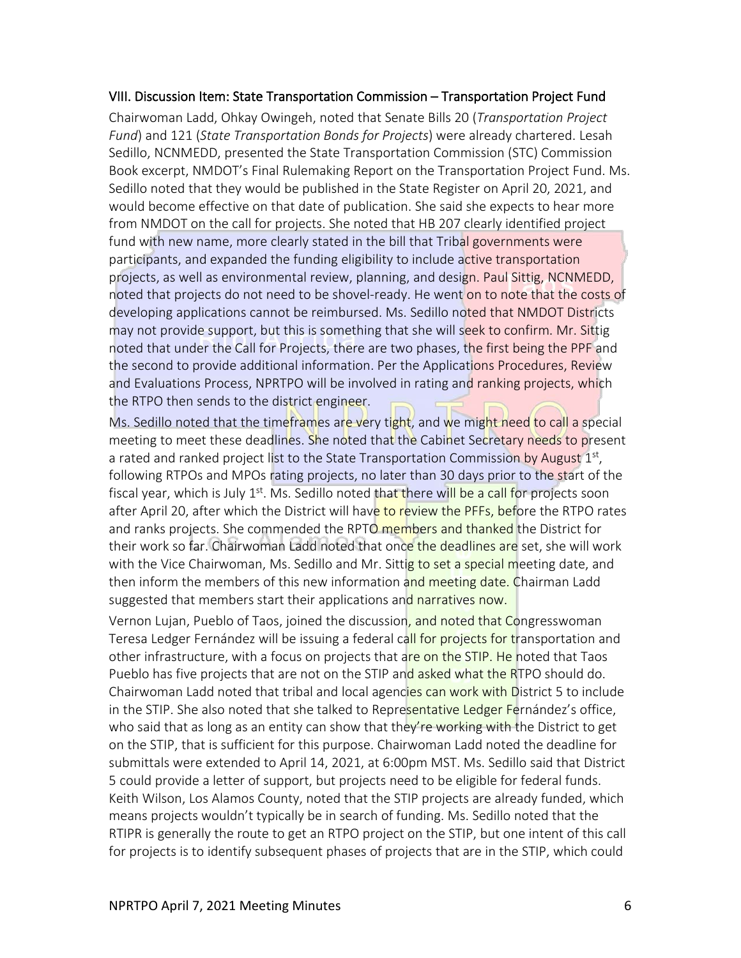#### VIII. Discussion Item: State Transportation Commission – Transportation Project Fund

Chairwoman Ladd, Ohkay Owingeh, noted that Senate Bills 20 (*Transportation Project Fund*) and 121 (*State Transportation Bonds for Projects*) were already chartered. Lesah Sedillo, NCNMEDD, presented the State Transportation Commission (STC) Commission Book excerpt, NMDOT's Final Rulemaking Report on the Transportation Project Fund. Ms. Sedillo noted that they would be published in the State Register on April 20, 2021, and would become effective on that date of publication. She said she expects to hear more from NMDOT on the call for projects. She noted that HB 207 clearly identified project fund with new name, more clearly stated in the bill that Tribal governments were participants, and expanded the funding eligibility to include active transportation projects, as well as environmental review, planning, and design. Paul Sittig, NCNMEDD, noted that projects do not need to be shovel-ready. He went on to note that the costs of developing applications cannot be reimbursed. Ms. Sedillo noted that NMDOT Districts may not provide support, but this is something that she will seek to confirm. Mr. Sittig noted that under the Call for Projects, there are two phases, the first being the PPF and the second to provide additional information. Per the Applications Procedures, Review and Evaluations Process, NPRTPO will be involved in rating and ranking projects, which the RTPO then sends to the district engineer.

Ms. Sedillo noted that the timeframes are very tight, and we might need to call a special meeting to meet these deadlines. She noted that the Cabinet Secretary needs to present a rated and ranked project list to the State Transportation Commission by August  $1<sup>st</sup>$ , following RTPOs and MPOs rating projects, no later than 30 days prior to the start of the fiscal year, which is July 1<sup>st</sup>. Ms. Sedillo noted that there will be a call for projects soon after April 20, after which the District will have to review the PFFs, before the RTPO rates and ranks projects. She commended the RPTO members and thanked the District for their work so far. Chairwoman Ladd noted that once the deadlines are set, she will work with the Vice Chairwoman, Ms. Sedillo and Mr. Sittig to set a special meeting date, and then inform the members of this new information and meeting date. Chairman Ladd suggested that members start their applications and narratives now.

Vernon Lujan, Pueblo of Taos, joined the discussion, and noted that Congresswoman Teresa Ledger Fernández will be issuing a federal call for projects for transportation and other infrastructure, with a focus on projects that are on the STIP. He noted that Taos Pueblo has five projects that are not on the STIP and asked what the RTPO should do. Chairwoman Ladd noted that tribal and local agencies can work with District 5 to include in the STIP. She also noted that she talked to Representative Ledger Fernández's office, who said that as long as an entity can show that they're working with the District to get on the STIP, that is sufficient for this purpose. Chairwoman Ladd noted the deadline for submittals were extended to April 14, 2021, at 6:00pm MST. Ms. Sedillo said that District 5 could provide a letter of support, but projects need to be eligible for federal funds. Keith Wilson, Los Alamos County, noted that the STIP projects are already funded, which means projects wouldn't typically be in search of funding. Ms. Sedillo noted that the RTIPR is generally the route to get an RTPO project on the STIP, but one intent of this call for projects is to identify subsequent phases of projects that are in the STIP, which could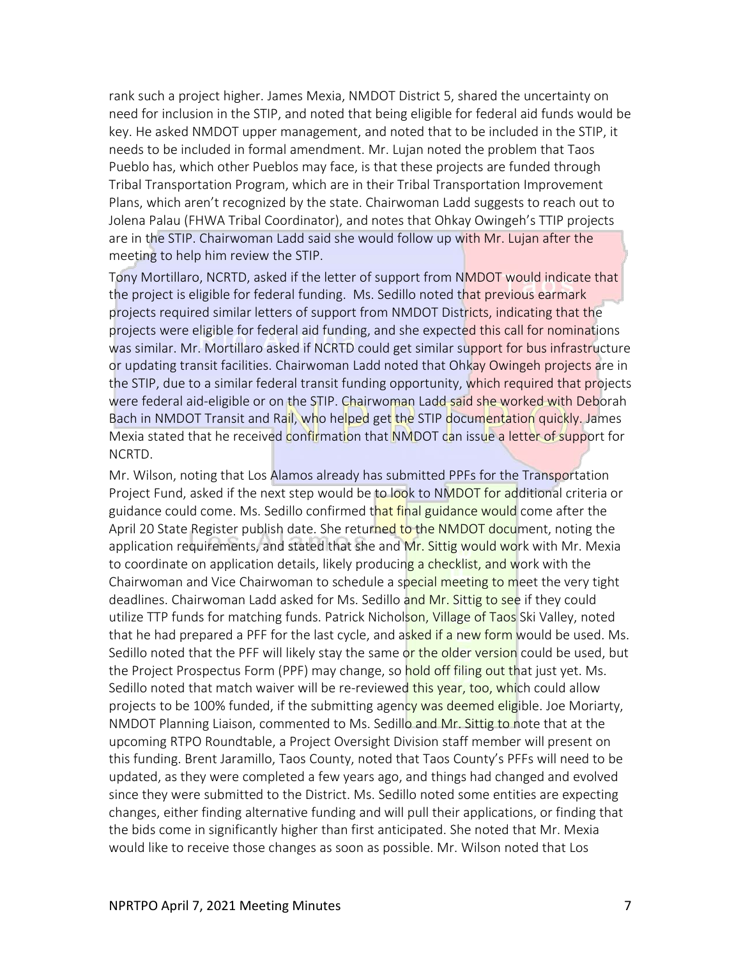rank such a project higher. James Mexia, NMDOT District 5, shared the uncertainty on need for inclusion in the STIP, and noted that being eligible for federal aid funds would be key. He asked NMDOT upper management, and noted that to be included in the STIP, it needs to be included in formal amendment. Mr. Lujan noted the problem that Taos Pueblo has, which other Pueblos may face, is that these projects are funded through Tribal Transportation Program, which are in their Tribal Transportation Improvement Plans, which aren't recognized by the state. Chairwoman Ladd suggests to reach out to Jolena Palau (FHWA Tribal Coordinator), and notes that Ohkay Owingeh's TTIP projects are in the STIP. Chairwoman Ladd said she would follow up with Mr. Lujan after the meeting to help him review the STIP.

Tony Mortillaro, NCRTD, asked if the letter of support from NMDOT would indicate that the project is eligible for federal funding. Ms. Sedillo noted that previous earmark projects required similar letters of support from NMDOT Districts, indicating that the projects were eligible for federal aid funding, and she expected this call for nominations was similar. Mr. Mortillaro asked if NCRTD could get similar support for bus infrastructure or updating transit facilities. Chairwoman Ladd noted that Ohkay Owingeh projects are in the STIP, due to a similar federal transit funding opportunity, which required that projects were federal aid-eligible or on the STIP. Chairwoman Ladd said she worked with Deborah Bach in NMDOT Transit and Rail, who helped get the STIP documentation quickly. James Mexia stated that he received confirmation that NMDOT can issue a letter of support for NCRTD.

Mr. Wilson, noting that Los Alamos already has submitted PPFs for the Transportation Project Fund, asked if the next step would be to look to NMDOT for additional criteria or guidance could come. Ms. Sedillo confirmed that final guidance would come after the April 20 State Register publish date. She returned to the NMDOT document, noting the application requirements, and stated that she and Mr. Sittig would work with Mr. Mexia to coordinate on application details, likely producing a checklist, and work with the Chairwoman and Vice Chairwoman to schedule a special meeting to meet the very tight deadlines. Chairwoman Ladd asked for Ms. Sedillo and Mr. Sittig to see if they could utilize TTP funds for matching funds. Patrick Nicholson, Village of Taos Ski Valley, noted that he had prepared a PFF for the last cycle, and asked if a new form would be used. Ms. Sedillo noted that the PFF will likely stay the same or the older version could be used, but the Project Prospectus Form (PPF) may change, so hold off filing out that just yet. Ms. Sedillo noted that match waiver will be re-reviewed this year, too, which could allow projects to be 100% funded, if the submitting agency was deemed eligible. Joe Moriarty, NMDOT Planning Liaison, commented to Ms. Sedillo and Mr. Sittig to note that at the upcoming RTPO Roundtable, a Project Oversight Division staff member will present on this funding. Brent Jaramillo, Taos County, noted that Taos County's PFFs will need to be updated, as they were completed a few years ago, and things had changed and evolved since they were submitted to the District. Ms. Sedillo noted some entities are expecting changes, either finding alternative funding and will pull their applications, or finding that the bids come in significantly higher than first anticipated. She noted that Mr. Mexia would like to receive those changes as soon as possible. Mr. Wilson noted that Los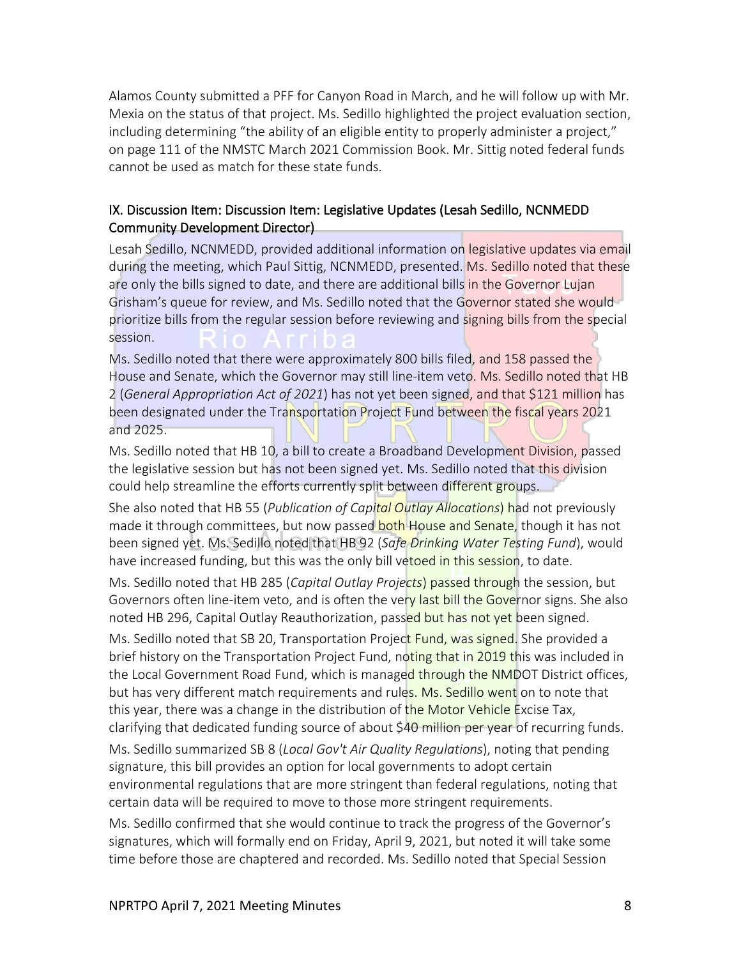Alamos County submitted a PFF for Canyon Road in March, and he will follow up with Mr. Mexia on the status of that project. Ms. Sedillo highlighted the project evaluation section, including determining "the ability of an eligible entity to properly administer a project," on page 111 of the NMSTC March 2021 Commission Book. Mr. Sittig noted federal funds cannot be used as match for these state funds.

#### IX. Discussion Item: Discussion Item: Legislative Updates (Lesah Sedillo, NCNMEDD Community Development Director)

Lesah Sedillo, NCNMEDD, provided additional information on legislative updates via email during the meeting, which Paul Sittig, NCNMEDD, presented. Ms. Sedillo noted that these are only the bills signed to date, and there are additional bills in the Governor Lujan Grisham's queue for review, and Ms. Sedillo noted that the Governor stated she would prioritize bills from the regular session before reviewing and signing bills from the special session.

Ms. Sedillo noted that there were approximately 800 bills filed, and 158 passed the House and Senate, which the Governor may still line-item veto. Ms. Sedillo noted that HB 2 (*General Appropriation Act of 2021*) has not yet been signed, and that \$121 million has been designated under the Transportation Project Fund between the fiscal years 2021 and 2025.

Ms. Sedillo noted that HB 10, a bill to create a Broadband Development Division, passed the legislative session but has not been signed yet. Ms. Sedillo noted that this division could help streamline the efforts currently split between different groups.

She also noted that HB 55 (*Publication of Capital Outlay Allocations*) had not previously made it through committees, but now passed both House and Senate, though it has not been signed yet. Ms. Sedillo noted that HB 92 (*Safe Drinking Water Testing Fund*), would have increased funding, but this was the only bill vetoed in this session, to date.

Ms. Sedillo noted that HB 285 (*Capital Outlay Projects*) passed through the session, but Governors often line-item veto, and is often the very last bill the Governor signs. She also noted HB 296, Capital Outlay Reauthorization, passed but has not yet been signed.

Ms. Sedillo noted that SB 20, Transportation Project Fund, was signed. She provided a brief history on the Transportation Project Fund, noting that in 2019 this was included in the Local Government Road Fund, which is managed through the NMDOT District offices, but has very different match requirements and rules. Ms. Sedillo went on to note that this year, there was a change in the distribution of the Motor Vehicle Excise Tax, clarifying that dedicated funding source of about \$40 million per year of recurring funds.

Ms. Sedillo summarized SB 8 (*Local Gov't Air Quality Regulations*), noting that pending signature, this bill provides an option for local governments to adopt certain environmental regulations that are more stringent than federal regulations, noting that certain data will be required to move to those more stringent requirements.

Ms. Sedillo confirmed that she would continue to track the progress of the Governor's signatures, which will formally end on Friday, April 9, 2021, but noted it will take some time before those are chaptered and recorded. Ms. Sedillo noted that Special Session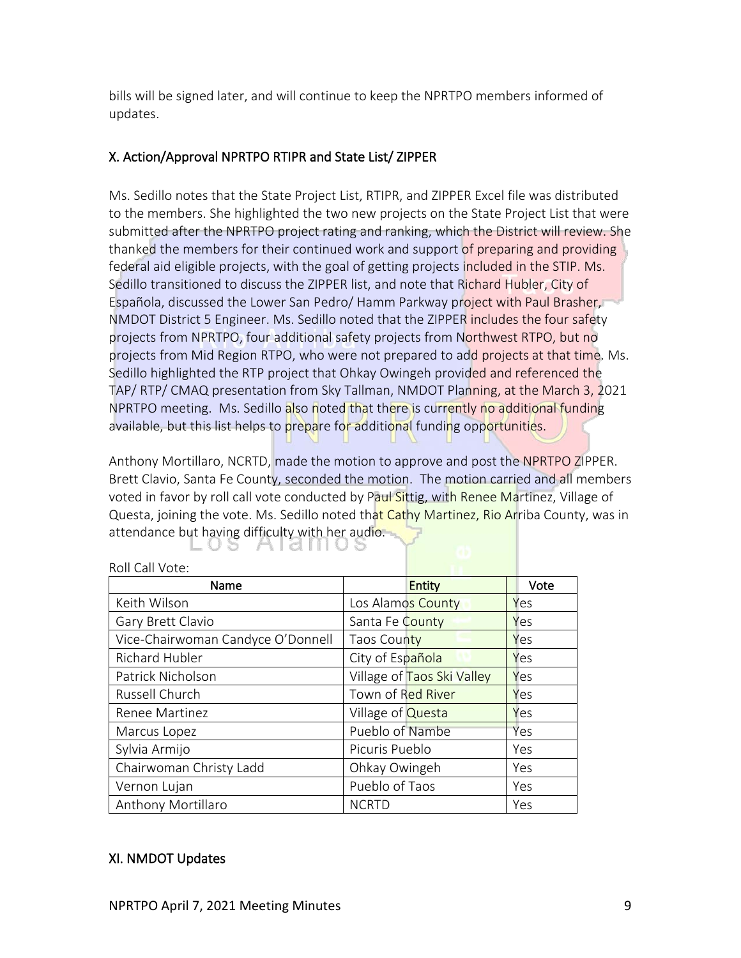bills will be signed later, and will continue to keep the NPRTPO members informed of updates.

## X. Action/Approval NPRTPO RTIPR and State List/ ZIPPER

Ms. Sedillo notes that the State Project List, RTIPR, and ZIPPER Excel file was distributed to the members. She highlighted the two new projects on the State Project List that were submitted after the NPRTPO project rating and ranking, which the District will review. She thanked the members for their continued work and support of preparing and providing federal aid eligible projects, with the goal of getting projects included in the STIP. Ms. Sedillo transitioned to discuss the ZIPPER list, and note that Richard Hubler, City of Española, discussed the Lower San Pedro/ Hamm Parkway project with Paul Brasher, NMDOT District 5 Engineer. Ms. Sedillo noted that the ZIPPER includes the four safety projects from NPRTPO, four additional safety projects from Northwest RTPO, but no projects from Mid Region RTPO, who were not prepared to add projects at that time. Ms. Sedillo highlighted the RTP project that Ohkay Owingeh provided and referenced the TAP/ RTP/ CMAQ presentation from Sky Tallman, NMDOT Planning, at the March 3, 2021 NPRTPO meeting. Ms. Sedillo also noted that there is currently no additional funding available, but this list helps to prepare for additional funding opportunities.

Anthony Mortillaro, NCRTD, made the motion to approve and post the NPRTPO ZIPPER. Brett Clavio, Santa Fe County, seconded the motion. The motion carried and all members voted in favor by roll call vote conducted by Paul Sittig, with Renee Martinez, Village of Questa, joining the vote. Ms. Sedillo noted that Cathy Martinez, Rio Arriba County, was in attendance but having difficulty with her audio.

| Name                              | Entity                     |     |
|-----------------------------------|----------------------------|-----|
| Keith Wilson                      | Los Alamos County          | Yes |
| Gary Brett Clavio                 | Santa Fe County            | Yes |
| Vice-Chairwoman Candyce O'Donnell | Taos County                | Yes |
| Richard Hubler                    | City of Española           | Yes |
| Patrick Nicholson                 | Village of Taos Ski Valley | Yes |
| Russell Church                    | Town of Red River          | Yes |
| Renee Martinez                    | Village of <b>Questa</b>   | Yes |
| Marcus Lopez                      | Pueblo of Nambe            | Yes |
| Sylvia Armijo                     | Picuris Pueblo             | Yes |
| Chairwoman Christy Ladd           | Ohkay Owingeh              | Yes |
| Vernon Lujan                      | Pueblo of Taos             | Yes |
| Anthony Mortillaro                | <b>NCRTD</b>               | Yes |

#### Roll Call Vote:

#### XI. NMDOT Updates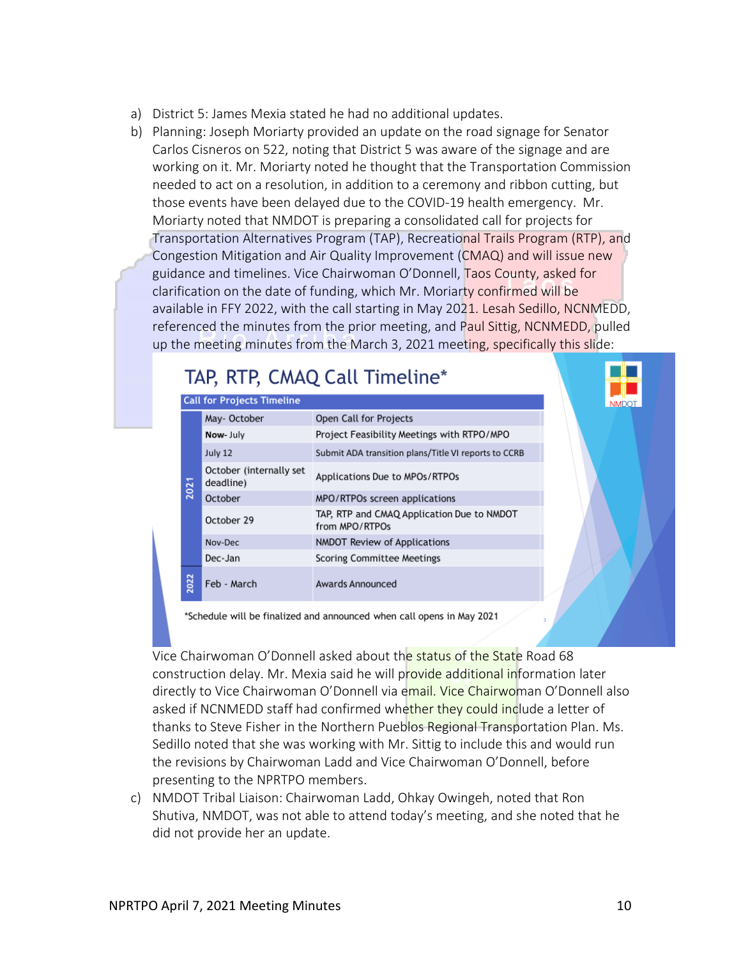- a) District 5: James Mexia stated he had no additional updates.
- b) Planning: Joseph Moriarty provided an update on the road signage for Senator Carlos Cisneros on 522, noting that District 5 was aware of the signage and are working on it. Mr. Moriarty noted he thought that the Transportation Commission needed to act on a resolution, in addition to a ceremony and ribbon cutting, but those events have been delayed due to the COVID-19 health emergency. Mr. Moriarty noted that NMDOT is preparing a consolidated call for projects for Transportation Alternatives Program (TAP), Recreational Trails Program (RTP), and Congestion Mitigation and Air Quality Improvement (CMAQ) and will issue new guidance and timelines. Vice Chairwoman O'Donnell, Taos County, asked for

clarification on the date of funding, which Mr. Moriarty confirmed will be available in FFY 2022, with the call starting in May 2021. Lesah Sedillo, NCNMEDD, referenced the minutes from the prior meeting, and Paul Sittig, NCNMEDD, pulled up the meeting minutes from the March 3, 2021 meeting, specifically this slide:

|      | <b>Call for Projects Timeline</b>    |                                                              | <b>NMDOT</b> |
|------|--------------------------------------|--------------------------------------------------------------|--------------|
|      | May-October                          | Open Call for Projects                                       |              |
|      | Now-July                             | Project Feasibility Meetings with RTPO/MPO                   |              |
|      | July 12                              | Submit ADA transition plans/Title VI reports to CCRB         |              |
|      | October (internally set<br>deadline) | Applications Due to MPOs/RTPOs                               |              |
| 202  | October                              | MPO/RTPOs screen applications                                |              |
|      | October 29                           | TAP, RTP and CMAQ Application Due to NMDOT<br>from MPO/RTPOs |              |
|      | Nov-Dec                              | NMDOT Review of Applications                                 |              |
|      | Dec-Jan                              | <b>Scoring Committee Meetings</b>                            |              |
| 2022 | Feb - March                          | Awards Announced                                             |              |

'Schedule will be finalized and announced when call opens in May 2021

Vice Chairwoman O'Donnell asked about the status of the State Road 68 construction delay. Mr. Mexia said he will provide additional information later directly to Vice Chairwoman O'Donnell via email. Vice Chairwoman O'Donnell also asked if NCNMEDD staff had confirmed whether they could include a letter of thanks to Steve Fisher in the Northern Pueblos Regional Transportation Plan. Ms. Sedillo noted that she was working with Mr. Sittig to include this and would run the revisions by Chairwoman Ladd and Vice Chairwoman O'Donnell, before presenting to the NPRTPO members.

c) NMDOT Tribal Liaison: Chairwoman Ladd, Ohkay Owingeh, noted that Ron Shutiva, NMDOT, was not able to attend today's meeting, and she noted that he did not provide her an update.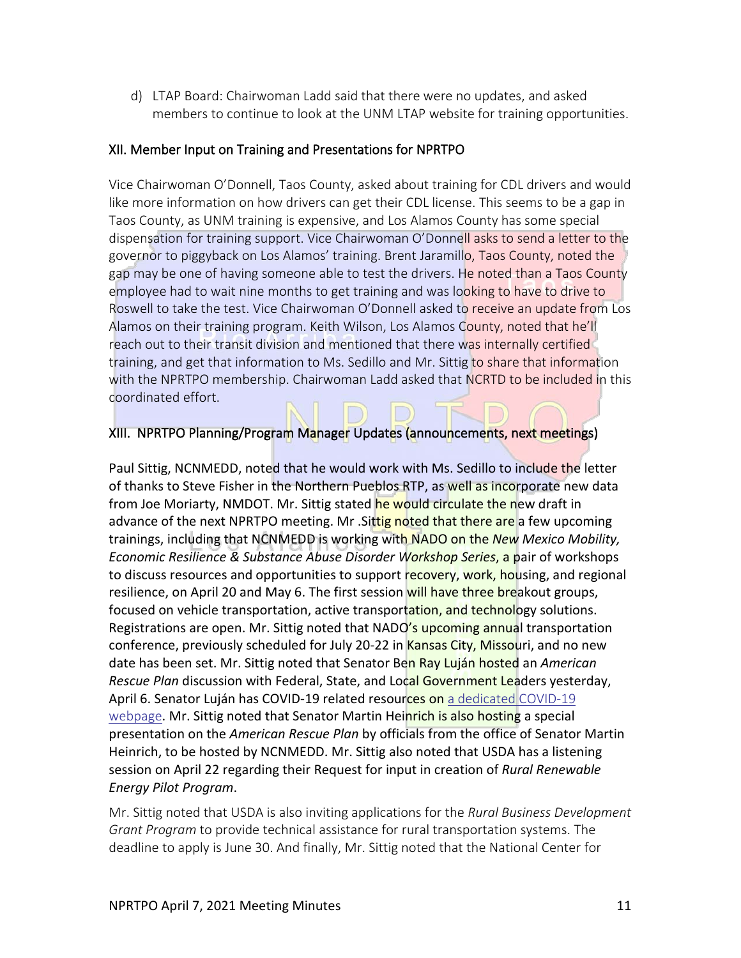d) LTAP Board: Chairwoman Ladd said that there were no updates, and asked members to continue to look at the UNM LTAP website for training opportunities.

#### XII. Member Input on Training and Presentations for NPRTPO

Vice Chairwoman O'Donnell, Taos County, asked about training for CDL drivers and would like more information on how drivers can get their CDL license. This seems to be a gap in Taos County, as UNM training is expensive, and Los Alamos County has some special dispensation for training support. Vice Chairwoman O'Donnell asks to send a letter to the governor to piggyback on Los Alamos' training. Brent Jaramillo, Taos County, noted the gap may be one of having someone able to test the drivers. He noted than a Taos County employee had to wait nine months to get training and was looking to have to drive to Roswell to take the test. Vice Chairwoman O'Donnell asked to receive an update from Los Alamos on their training program. Keith Wilson, Los Alamos County, noted that he'll reach out to their transit division and mentioned that there was internally certified training, and get that information to Ms. Sedillo and Mr. Sittig to share that information with the NPRTPO membership. Chairwoman Ladd asked that NCRTD to be included in this coordinated effort.

## XIII. NPRTPO Planning/Program Manager Updates (announcements, next meetings)

Paul Sittig, NCNMEDD, noted that he would work with Ms. Sedillo to include the letter of thanks to Steve Fisher in the Northern Pueblos RTP, as well as incorporate new data from Joe Moriarty, NMDOT. Mr. Sittig stated he would circulate the new draft in advance of the next NPRTPO meeting. Mr. Sittig noted that there are a few upcoming trainings, including that NCNMEDD is working with NADO on the *New Mexico Mobility, Economic Resilience & Substance Abuse Disorder Workshop Series*, a pair of workshops to discuss resources and opportunities to support recovery, work, housing, and regional resilience, on April 20 and May 6. The first session will have three breakout groups, focused on vehicle transportation, active transportation, and technology solutions. Registrations are open. Mr. Sittig noted that NADO's upcoming annual transportation conference, previously scheduled for July 20-22 in Kansas City, Missouri, and no new date has been set. Mr. Sittig noted that Senator Ben Ray Luján hosted an *American Rescue Plan* discussion with Federal, State, and Local Government Leaders yesterday, April 6. Senator Luján has COVID-19 related resources on a dedicated COVID-19 [webpage](https://www.lujan.senate.gov/covid-19/). Mr. Sittig noted that Senator Martin Heinrich is also hosting a special presentation on the *American Rescue Plan* by officials from the office of Senator Martin Heinrich, to be hosted by NCNMEDD. Mr. Sittig also noted that USDA has a listening session on April 22 regarding their Request for input in creation of *Rural Renewable Energy Pilot Program*.

Mr. Sittig noted that USDA is also inviting applications for the *Rural Business Development Grant Program* to provide technical assistance for rural transportation systems. The deadline to apply is June 30. And finally, Mr. Sittig noted that the National Center for